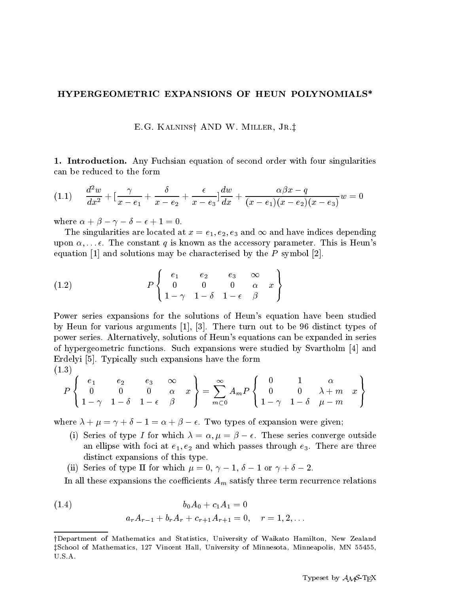## HYPERGEOMETRIC EXPANSIONS OF HEUN POLYNOMIALS\*

E.G. KALNINS† AND W. MILLER, JR.‡

1. Introduction. Any Fuchsian equation of second order with four singularities can be reduced to the form

$$
(1.1) \quad \frac{d^2w}{dx^2} + \left[\frac{\gamma}{x - e_1} + \frac{\delta}{x - e_2} + \frac{\epsilon}{x - e_3}\right] \frac{dw}{dx} + \frac{\alpha\beta x - q}{(x - e_1)(x - e_2)(x - e_3)}w = 0
$$

where  $\alpha + \beta - \gamma - \delta - \epsilon + 1 = 0$ .

 $\lambda$  -  $\lambda$  -  $\lambda$ 

The singularities are located at  $x = e_1, e_2, e_3$  and  $\infty$  and have indices depending upon  $\alpha, \ldots, \epsilon$ . The constant q is known as the accessory parameter. This is Heun's equation  $[1]$  and solutions may be characterised by the P symbol  $[2]$ .

(1.2) 
$$
P\left\{\begin{array}{cccc} e_1 & e_2 & e_3 & \infty \\ 0 & 0 & 0 & \alpha & x \\ 1-\gamma & 1-\delta & 1-\epsilon & \beta \end{array}\right\}
$$

Power series expansions for the solutions of Heun's equation have been studied by Heun for various arguments  $[1], [3]$ . There turn out to be 96 distinct types of power series. Alternatively, solutions of Heun's equations can be expanded in series of hypergeometric functions. Such expansions were studied by Svartholm  $|4|$  and Erdelyi [5]. Typically such expansions have the form

$$
P\left\{\begin{array}{l}e_1\\0\\1-\gamma\end{array}\begin{array}{l}e_2\\0\\1-\delta\end{array}\begin{array}{l}e_3\\0\\1-\epsilon\end{array}\begin{array}{l}\infty\\\beta\end{array}\begin{array}{l}\infty\\\infty\end{array}x\right\}=\sum_{m=0}^\infty A_mP\left\{\begin{array}{l}0\\0\\1-\gamma\end{array}\begin{array}{l}1\end{array}\begin{array}{l}\alpha\\0\\1-\delta\end{array}\begin{array}{l} \mu-m\\ \mu-m\end{array}\right\}
$$

where  $\lambda + \mu = \gamma + \sigma = 1 - \alpha + \beta = \epsilon$ . Two types of expansion were given,

- (1) Series of type I for which  $\Delta = \alpha$ ,  $\mu = \beta = \epsilon$ . These series converge outside and the set at e-masses through extensive  $\Gamma$  are three are through extensive  $\Gamma$ distinct expansions of this type
- (ii) Series of type II for which  $\mu = 0$ ,  $\gamma = 1$ ,  $\sigma = 1$  or  $\gamma = \sigma = 2$ .

In all these expansions the coefficients  $A_m$  satisfy three term recurrence relations

(1.4) 
$$
b_0 A_0 + c_1 A_1 = 0
$$

$$
a_r A_{r-1} + b_r A_r + c_{r+1} A_{r+1} = 0, \quad r = 1, 2, ...
$$

y are the statistics and Statistics-Statistics-Statistics-Statistics-Complete Hamilton-Hamilton-Hamilton-HamiltonzSchool of Mathematics- Vincent Hall- University of Minnesota- Minneapolis- MN -U.S.A.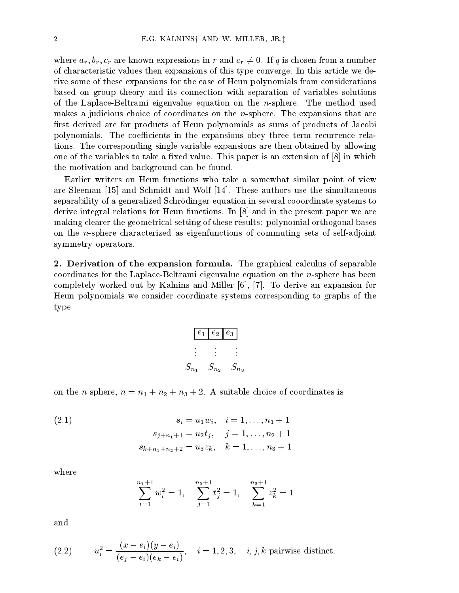where  $a_r, b_r, c_r$  are known expressions in r and  $c_r \neq 0$ . If q is chosen from a number of characteristic values then expansions of this type converge In this article we de rive some of these expansions for the case of Heun polynomials from considerations based on group theory and its connection with separation of variables solutions of the Laplace-Beltrami eigenvalue equation on the *n*-sphere. The method used makes a judicious choice of coordinates on the  $n$ -sphere. The expansions that are first derived are for products of Heun polynomials as sums of products of Jacobi polynomials. The coefficients in the expansions obey three term recurrence relations The corresponding single variable expansions are then obtained by allowing one of the variables to take a fixed value. This paper is an extension of  $[8]$  in which the motivation and background can be found

Earlier writers on Heun functions who take a somewhat similar point of view are Sleeman  $\left[15\right]$  and Schmidt and Wolf  $\left[14\right]$ . These authors use the simultaneous separability of a generalized Schrödinger equation in several cooordinate systems to derive integral relations for Heun functions. In  $\lbrack 8 \rbrack$  and in the present paper we are making clearer the geometrical setting of these results: polynomial orthogonal bases on the *n*-sphere characterized as eigenfunctions of commuting sets of self-adjoint symmetry operators

**2. Derivation of the expansion formula.** The graphical calculus of separable coordinates for the Laplace-Beltrami eigenvalue equation on the *n*-sphere has been completely worked out by Kalnins and Miller  $[6]$ ,  $[7]$ . To derive an expansion for Heun polynomials we consider coordinate systems corresponding to graphs of the type

| $e_{1}$   | $e_2$   $e_3$ |           |  |
|-----------|---------------|-----------|--|
|           |               |           |  |
|           |               |           |  |
| $S_{n_1}$ | $S_{n_2}$     | $S_{n_3}$ |  |

on the n sphere of the normal choice of coordinates is the coordinates in the commutation of coordinates in the

(2.1) 
$$
s_i = u_1 w_i, \quad i = 1, ..., n_1 + 1
$$

$$
s_{j+n_1+1} = u_2 t_j, \quad j = 1, ..., n_2 + 1
$$

$$
s_{k+n_1+n_2+2} = u_3 z_k, \quad k = 1, ..., n_3 + 1
$$

where

$$
\sum_{i=1}^{n_1+1} w_i^2 = 1, \quad \sum_{j=1}^{n_2+1} t_j^2 = 1, \quad \sum_{k=1}^{n_3+1} z_k^2 = 1
$$

and

(2.2) 
$$
u_i^2 = \frac{(x - e_i)(y - e_i)}{(e_j - e_i)(e_k - e_i)}, \quad i = 1, 2, 3, \quad i, j, k \text{ pairwise distinct.}
$$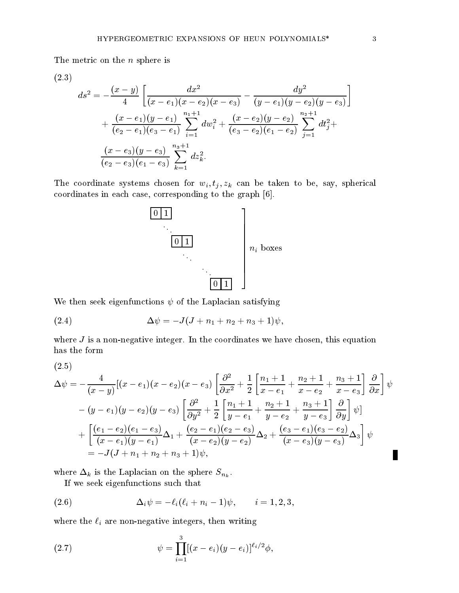The metric on the *n* sphere is

$$
(2.3)
$$
\n
$$
ds^{2} = -\frac{(x-y)}{4} \left[ \frac{dx^{2}}{(x-e_{1})(x-e_{2})(x-e_{3})} - \frac{dy^{2}}{(y-e_{1})(y-e_{2})(y-e_{3})} \right] + \frac{(x-e_{1})(y-e_{1})}{(e_{2}-e_{1})(e_{3}-e_{1})} \sum_{i=1}^{n_{1}+1} dw_{i}^{2} + \frac{(x-e_{2})(y-e_{2})}{(e_{3}-e_{2})(e_{1}-e_{2})} \sum_{j=1}^{n_{2}+1} dt_{j}^{2} + \frac{(x-e_{3})(y-e_{3})}{(e_{2}-e_{3})(e_{1}-e_{3})} \sum_{k=1}^{n_{3}+1} dz_{k}^{2}.
$$

The coordinate systems chosen for  $w_i, t_j, z_k$  can be taken to be, say, spherical coordinates in each case, corresponding to the graph [6].



We then seek eigenfunctions  $\psi$  of the Laplacian satisfying

(2.4) 
$$
\Delta \psi = -J(J + n_1 + n_2 + n_3 + 1)\psi,
$$

where  $J$  is a non-negative integer. In the coordinates we have chosen, this equation has the form

-

$$
\Delta \psi = -\frac{4}{(x-y)}[(x-e_1)(x-e_2)(x-e_3)] \left[ \frac{\partial^2}{\partial x^2} + \frac{1}{2} \left[ \frac{n_1+1}{x-e_1} + \frac{n_2+1}{x-e_2} + \frac{n_3+1}{x-e_3} \right] \frac{\partial}{\partial x} \right] \psi
$$
  
-(y-e<sub>1</sub>)(y-e<sub>2</sub>)(y-e<sub>3</sub>)  $\left[ \frac{\partial^2}{\partial y^2} + \frac{1}{2} \left[ \frac{n_1+1}{y-e_1} + \frac{n_2+1}{y-e_2} + \frac{n_3+1}{y-e_3} \right] \frac{\partial}{\partial y} \right] \psi$   
+  $\left[ \frac{(e_1-e_2)(e_1-e_3)}{(x-e_1)(y-e_1)} \Delta_1 + \frac{(e_2-e_1)(e_2-e_3)}{(x-e_2)(y-e_2)} \Delta_2 + \frac{(e_3-e_1)(e_3-e_2)}{(x-e_3)(y-e_3)} \Delta_3 \right] \psi$   
= -J(J+n<sub>1</sub>+n<sub>2</sub>+n<sub>3</sub>+1)\psi,

where  $\Delta_k$  is the Laplacian on the sphere  $S_{n_k}$ .

If we seek eigenfunctions such that

(2.6) 
$$
\Delta_i \psi = -\ell_i (\ell_i + n_i - 1) \psi, \qquad i = 1, 2, 3,
$$

where the  $\ell_i$  are non-negative integers, then writing

(2.7) 
$$
\psi = \prod_{i=1}^{3} [(x - e_i)(y - e_i)]^{\ell_i/2} \phi,
$$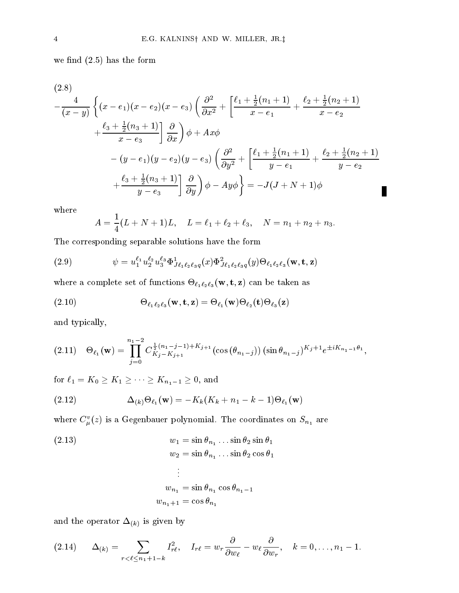where  $\mathbf{h}$  is the form of the form of the form of the form of the form of the form of the form of the form of the form of the form of the form of the form of the form of the form of the form of the form of the form of

i.

$$
(2.8)
$$
\n
$$
-\frac{4}{(x-y)}\left\{(x-e_1)(x-e_2)(x-e_3)\left(\frac{\partial^2}{\partial x^2} + \left[\frac{\ell_1+\frac{1}{2}(n_1+1)}{x-e_1} + \frac{\ell_2+\frac{1}{2}(n_2+1)}{x-e_2}\right] + \frac{\ell_3+\frac{1}{2}(n_3+1)}{x-e_3}\right]\frac{\partial}{\partial x}\right)\phi + Ax\phi
$$
\n
$$
-(y-e_1)(y-e_2)(y-e_3)\left(\frac{\partial^2}{\partial y^2} + \left[\frac{\ell_1+\frac{1}{2}(n_1+1)}{y-e_1} + \frac{\ell_2+\frac{1}{2}(n_2+1)}{y-e_2}\right] + \frac{\ell_3+\frac{1}{2}(n_3+1)}{y-e_3}\right]\frac{\partial}{\partial y}\phi - Ay\phi\bigg\} = -J(J+N+1)\phi
$$

where

$$
A = \frac{1}{4}(L+N+1)L, \quad L = \ell_1 + \ell_2 + \ell_3, \quad N = n_1 + n_2 + n_3.
$$

×

The corresponding separable solutions have the form

(2.9) 
$$
\psi = u_1^{\ell_1} u_2^{\ell_2} u_3^{\ell_3} \Phi_{J\ell_1\ell_2\ell_3q}^1(x) \Phi_{J\ell_1\ell_2\ell_3q}^2(y) \Theta_{\ell_1\ell_2\ell_3}(\mathbf{w}, \mathbf{t}, \mathbf{z})
$$

 $\mathbf{r}$  -  $\mathbf{r}$  -  $\mathbf{r}$  -  $\mathbf{r}$  -  $\mathbf{r}$  -  $\mathbf{r}$  -  $\mathbf{r}$  -  $\mathbf{r}$  -  $\mathbf{r}$  -  $\mathbf{r}$  -  $\mathbf{r}$  -  $\mathbf{r}$  -  $\mathbf{r}$  -  $\mathbf{r}$  -  $\mathbf{r}$  -  $\mathbf{r}$  -  $\mathbf{r}$  -  $\mathbf{r}$  -  $\mathbf{r}$  -  $\mathbf{r}$  -

(2.10) 
$$
\Theta_{\ell_1 \ell_2 \ell_3}(\mathbf{w}, \mathbf{t}, \mathbf{z}) = \Theta_{\ell_1}(\mathbf{w}) \Theta_{\ell_2}(\mathbf{t}) \Theta_{\ell_3}(\mathbf{z})
$$

and typically

$$
(2.11) \quad \Theta_{\ell_1}(\mathbf{w}) = \prod_{j=0}^{n_1-2} C_{K_j-K_{j+1}}^{\frac{1}{2}(n_1-j-1)+K_{j+1}}(\cos(\theta_{n_1-j})) (\sin \theta_{n_1-j})^{K_j+1} e^{\pm i K_{n_1-1}\theta_1},
$$

for  $\ell_1 = K_0 \geq K_1 \geq \cdots \geq K_{n_1-1} \geq 0$ , and

(2.12) 
$$
\Delta_{(k)}\Theta_{\ell_1}(\mathbf{w})=-K_k(K_k+n_1-k-1)\Theta_{\ell_1}(\mathbf{w})
$$

where  $C_{\mu}(z)$  is a Gegenbauer polynomial. The coordinates on  $S_{n_1}$  are

(2.13)  
\n
$$
w_1 = \sin \theta_{n_1} \dots \sin \theta_2 \sin \theta_1
$$
\n
$$
w_2 = \sin \theta_{n_1} \dots \sin \theta_2 \cos \theta_1
$$
\n
$$
\vdots
$$
\n
$$
w_{n_1} = \sin \theta_{n_1} \cos \theta_{n_1 - 1}
$$
\n
$$
w_{n_1 + 1} = \cos \theta_{n_1}
$$

and the operator  $\Delta_{(k)}$  is given by

$$
(2.14) \qquad \Delta_{(k)} = \sum_{r < \ell \leq n_1 + 1 - k} I_{r\ell}^2, \quad I_{r\ell} = w_r \frac{\partial}{\partial w_\ell} - w_\ell \frac{\partial}{\partial w_r}, \quad k = 0, \ldots, n_1 - 1.
$$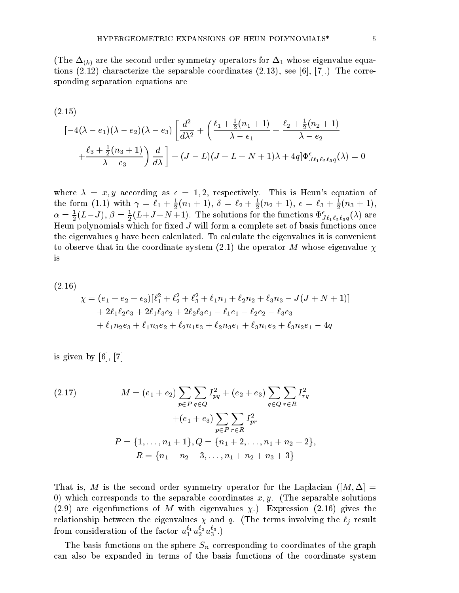$$
(2.15)
$$
  
\n
$$
[-4(\lambda - e_1)(\lambda - e_2)(\lambda - e_3)\left[\frac{d^2}{d\lambda^2} + \left(\frac{\ell_1 + \frac{1}{2}(n_1 + 1)}{\lambda - e_1} + \frac{\ell_2 + \frac{1}{2}(n_2 + 1)}{\lambda - e_2}\right)\right] \frac{d}{d\lambda} + (J - L)(J + L + N + 1)\lambda + 4q]\Phi_{J\ell_1\ell_2\ell_3q}^{\epsilon}(\lambda) = 0
$$

where  $\lambda = x, y$  according as  $\epsilon = 1, 2$ , respectively. This is Heun's equation of the form (1.1) with  $\gamma = \ell_1 + \frac{1}{2}(n_1 + 1)$ , 0  $\frac{1}{2}(n_1+1), 0 = \ell_2 + \frac{1}{2}(n_2+1), \epsilon$  $\frac{1}{2}(n_2+1), \epsilon = \ell_3 + \frac{1}{2}(n_3+1),$  $2 \vee 3 \vee 7$  $\alpha = \frac{1}{2}(L-J), \beta = \frac{1}{2}(L+J+N+1)$ . The solutions for the functions  $\Psi_{J\ell_1\ell_2\ell_3q}^*(\lambda)$  are - Andreas and the contract of the contract of the contract of the contract of the contract of the contract of Heun polynomials which for xed J will form a complete set of basis functions once the eigenvalues  $q$  have been calculated. To calculate the eigenvalues it is convenient  $t \sim 1$  the coordinate system of  $\sim 1$  whose eigenvalues  $\sim 1$ 

$$
(2.16)
$$
\n
$$
\chi = (e_1 + e_2 + e_3)[\ell_1^2 + \ell_2^2 + \ell_3^2 + \ell_1 n_1 + \ell_2 n_2 + \ell_3 n_3 - J(J + N + 1)]
$$
\n
$$
+ 2\ell_1 \ell_2 e_3 + 2\ell_1 \ell_3 e_2 + 2\ell_2 \ell_3 e_1 - \ell_1 e_1 - \ell_2 e_2 - \ell_3 e_3
$$
\n
$$
+ \ell_1 n_2 e_3 + \ell_1 n_3 e_2 + \ell_2 n_1 e_3 + \ell_2 n_3 e_1 + \ell_3 n_1 e_2 + \ell_3 n_2 e_1 - 4q
$$

is given by  $[6]$ ,  $[7]$ 

(2.17) 
$$
M = (e_1 + e_2) \sum_{p \in P} \sum_{q \in Q} I_{pq}^2 + (e_2 + e_3) \sum_{q \in Q} \sum_{r \in R} I_{rq}^2 + (e_1 + e_3) \sum_{p \in P} \sum_{r \in R} I_{pr}^2 + (e_1 + e_3) \sum_{p \in P} \sum_{r \in R} I_{pr}^2
$$

$$
P = \{1, ..., n_1 + 1\}, Q = \{n_1 + 2, ..., n_1 + n_2 + 2\},
$$

$$
R = \{n_1 + n_2 + 3, ..., n_1 + n_2 + n_3 + 3\}
$$

That is M is the second order symmetry operator for the Laplacian -M which corresponds to the separable corresponds to the separable cooperations in a separable solutions of the s  $\mathcal{A}$  . The eigenfunctions of M with eigenvalues  $\mathcal{A}$  ,  $\mathcal{A}$  and  $\mathcal{A}$  are  $\mathcal{A}$  . The set of  $\mathcal{A}$ relationship between the eigenvalues and and q - (the terms involving the eigenvalues of the terms in from consideration of the factor  $u_1^{\scriptscriptstyle +} u_2^{\scriptscriptstyle +} u_3^{\scriptscriptstyle +}$  .)

The basis functions on the sphere  $S_n$  corresponding to coordinates of the graph can also be expanded in terms of the basis functions of the coordinate system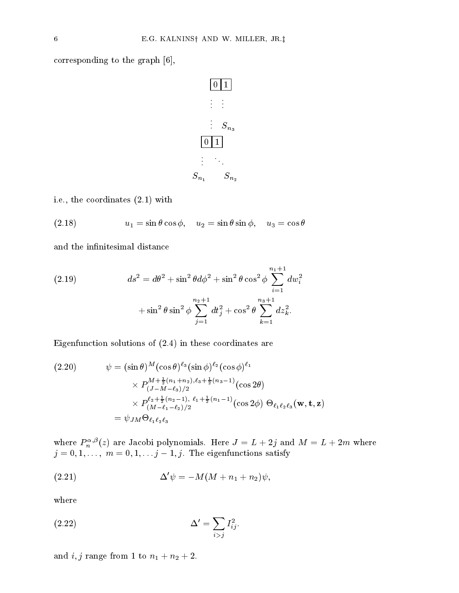corresponding to the graph  $[6]$ ,



et the coordinates of the coordinates and the coordinates of the coordinates of the coordinates of the coordinates of the coordinates of the coordinates of the coordinates of the coordinates of the coordinates of the coord

(2.18) 
$$
u_1 = \sin \theta \cos \phi, \quad u_2 = \sin \theta \sin \phi, \quad u_3 = \cos \theta
$$

and the infinitesimal distance

(2.19) 
$$
ds^{2} = d\theta^{2} + \sin^{2}\theta d\phi^{2} + \sin^{2}\theta \cos^{2}\phi \sum_{i=1}^{n_{1}+1} dw_{i}^{2} + \sin^{2}\theta \sin^{2}\phi \sum_{j=1}^{n_{2}+1} dt_{j}^{2} + \cos^{2}\theta \sum_{k=1}^{n_{3}+1} dz_{k}^{2}.
$$

 $\blacksquare$  in the set of  $\blacksquare$ 

$$
(2.20) \qquad \psi = (\sin \theta)^{M} (\cos \theta)^{\ell_3} (\sin \phi)^{\ell_2} (\cos \phi)^{\ell_1}
$$

$$
\times P_{(J-M-\ell_3)/2}^{M+\frac{1}{2}(n_1+n_2),\ell_3+\frac{1}{2}(n_3-1)} (\cos 2\theta)
$$

$$
\times P_{(M-\ell_1-\ell_2)/2}^{\ell_2+\frac{1}{2}(n_2-1),\ell_1+\frac{1}{2}(n_1-1)} (\cos 2\phi) \Theta_{\ell_1\ell_2\ell_3}(\mathbf{w}, \mathbf{t}, \mathbf{z})
$$

$$
= \psi_{JM} \Theta_{\ell_1\ell_2\ell_3}
$$

where  $P_n^{\gamma,\nu}(z)$  are Jacobi polynomials. Here  $J = L + 2j$  and  $M = L + 2m$  where  $j = 0, 1, \ldots, m = 0, 1, \ldots, j = 1, j$ . The eigenfunctions satisfy

$$
\Delta'\psi = -M(M+n_1+n_2)\psi,
$$

where

$$
\Delta' = \sum_{i>j} I_{ij}^2.
$$

and it is not in the from the from  $\mathbf{r}$  to the from  $\mathbf{r}$  to  $\mathbf{r}$  and  $\mathbf{r}$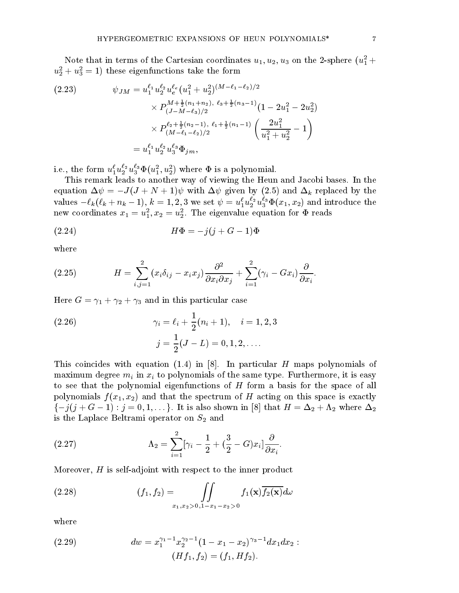Note that in terms of the Cartesian coordinates  $u_1, u_2, u_3$  on the 2-sphere  $(u_1 +$  $u_2^2 + u_3^2 = 1$ ) these eigenfunctions take the form

$$
(2.23) \qquad \psi_{JM} = u_1^{\ell_1} u_2^{\ell_2} u_e^{\ell_e} (u_1^2 + u_2^2)^{(M - \ell_1 - \ell_2)/2} \times P_{(J - M - \ell_3)/2}^{M + \frac{1}{2}(n_1 + n_2), \ell_3 + \frac{1}{2}(n_3 - 1)} (1 - 2u_1^2 - 2u_2^2) \times P_{(M - \ell_1 - \ell_2)/2}^{\ell_2 + \frac{1}{2}(n_2 - 1), \ell_1 + \frac{1}{2}(n_1 - 1)} \left( \frac{2u_1^2}{u_1^2 + u_2^2} - 1 \right) = u_1^{\ell_1} u_2^{\ell_2} u_3^{\ell_3} \Phi_{jm},
$$

1.e., the form  $u_1^*u_2^*u_3^*\Psi(u_1^*,u_2^*)$  where  $\Psi$  is a polynomial.

This remark leads to another way of viewing the Heun and Jacobi bases In the equation  $\Delta \psi = -J (J + N + 1) \psi$  with  $\Delta \psi$  given by (2.0) and  $\Delta k$  replaced by the values  $-\ell_k(\ell_k+n_k-1), k=1,2,3$  we set  $\psi=u_1^*u_2^*u_3^*\Psi(x_1,x_2)$  and introduce the new coordinates  $x_1 = u_1, x_2 = u_2$ . The eigenvalue equation for  $\Psi$  reads

$$
(2.24) \tH\Phi = -j(j+G-1)\Phi
$$

where

(2.25) 
$$
H = \sum_{i,j=1}^{2} (x_i \delta_{ij} - x_i x_j) \frac{\partial^2}{\partial x_i \partial x_j} + \sum_{i=1}^{2} (\gamma_i - Gx_i) \frac{\partial}{\partial x_i}.
$$

Here G  $\pm$  1  $\pm$  1  $\pm$  1  $\pm$  0  $\pm$  2  $\pm$  2  $\pm$  2  $\pm$  2  $\pm$  2  $\pm$  2  $\pm$  2  $\pm$  2  $\pm$  2  $\pm$  2  $\pm$  2  $\pm$  2  $\pm$  2  $\pm$  2  $\pm$  2  $\pm$  2  $\pm$  2  $\pm$  2  $\pm$  2  $\pm$  2  $\pm$  2  $\pm$  2  $\pm$  2  $\pm$  2  $\pm$  2  $\pm$  2  $\pm$ 

(2.26) 
$$
\gamma_i = \ell_i + \frac{1}{2}(n_i + 1), \quad i = 1, 2, 3
$$

$$
j = \frac{1}{2}(J - L) = 0, 1, 2, ....
$$

This coincides with equation - in In particular H maps polynomials of maximum degree  $m_i$  in  $x_i$  to polynomials of the same type. Furthermore, it is easy to see that the polynomial eigenfunctions of H form a basis for the space of all polynomials f  $\Box$  and the spectrum of  $\Box$  and the spectrum of  $\Box$  is exactly in this space is exactly in the space is exactly in the spectrum of  $\Box$  is exactly in the space is exactly in the spectrum of  $\Box$  is exactl  $\{-j(j+G-1): j=0,1,\dots\}$ . It is also shown in [8] that  $H=\Delta_2+\Lambda_2$  where  $\Delta_2$ is the Laplace Beltrami operator on  $S_2$  and

-Hf- f -f-Hf

(2.27) 
$$
\Lambda_2 = \sum_{i=1}^2 [\gamma_i - \frac{1}{2} + (\frac{3}{2} - G)x_i] \frac{\partial}{\partial x_i}.
$$

Moreover,  $H$  is self-adjoint with respect to the inner product

(2.28) 
$$
(f_1, f_2) = \iint\limits_{x_1, x_2 > 0, 1-x_1-x_2 > 0} f_1(\mathbf{x}) \overline{f_2(\mathbf{x})} d\omega
$$

where

(2.29) 
$$
dw = x_1^{\gamma_1 - 1} x_2^{\gamma_2 - 1} (1 - x_1 - x_2)^{\gamma_3 - 1} dx_1 dx_2 :
$$

$$
(Hf, f_2) = (f, Hf_2)
$$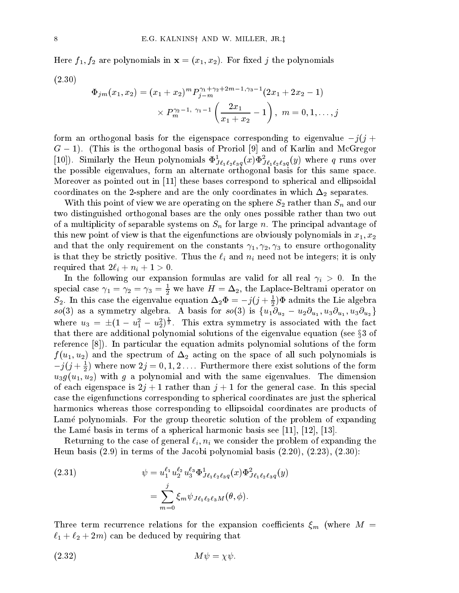$f \colon H \to H$ re polynomials in  $f \colon H$  and  $f \colon H$  in  $f \colon H$  is a set of  $f$  the polynomials in  $f$ 

$$
(2.30)
$$

$$
\Phi_{jm}(x_1, x_2) = (x_1 + x_2)^m P_{j-m}^{\gamma_1 + \gamma_2 + 2m - 1, \gamma_3 - 1} (2x_1 + 2x_2 - 1)
$$

$$
\times P_m^{\gamma_2 - 1, \gamma_1 - 1} \left( \frac{2x_1}{x_1 + x_2} - 1 \right), \ m = 0, 1, \dots, j
$$

form an orthogonal basis for the eigenspace corresponding to eigenvalue  $-\gamma$  (  $\gamma$   $+$  $\alpha$  = 1). This is the orthogonal basis of Froriol [3] and of Karlin and McGregor [10]). Similarly the Heun polynomials  $\Psi_{Je_1 \ell_2 \ell_3 q}^-(x) \Psi_{Je_1 \ell_2 \ell_3 q}^-(y)$  where q runs over the possible eigenvalues or the alternation or this same space space or the part of Moreover as pointed out in [11] these bases correspond to spherical and ellipsoidal coordinates on the 2-sphere and are the only coordinates in which  $\Delta_2$  separates.

With this point of view we are operating on the sphere  $S_2$  rather than  $S_n$  and our two distinguished orthogonal bases are the only ones possible rather than two out of a multiplicity of separable systems on  $S_n$  for large n. The principal advantage of this new point of view is the eigenfunctions are obviously polynomials in  $\mathcal{S}^{\text{tr}}$  , where  $\mathcal{S}^{\text{tr}}$  are obviously polynomials in  $\mathcal{S}^{\text{tr}}$ and the only requirement on the constants of the constants  $\sigma$  or  $\sigma$ is that they be strictly positive. Thus the  $\ell_i$  and  $n_i$  need not be integers; it is only in the contract of the contract of the contract of the contract of the contract of the contract of the contract of the contract of the contract of the contract of the contract of the contract of the contract of the contra

 $\Box$  in the following our expansion for all real -  $\Box$  real real -  $\Box$  real -  $\Box$ special case  $\gamma_1 = \gamma_2 = \gamma_3 = \frac{1}{2}$  we have  $H = \Delta_2$ , the Laplace-Beltrami operator on  $S_2$ . In this case the eigenvalue equation  $\Delta_2 \Psi = -\jmath(\jmath + \frac{1}{2})\Psi$  admits the Lie algebra  $so(3)$  as a symmetry algebra. A basis for  $so(3)$  is  $\{u_1\partial_{u_2}-u_2\partial_{u_1},u_3\partial_{u_1},u_3\partial_{u_2}\}$  $\}$ where  $u_3 = \pm (1 - u_1^2 - u_2^2)^{\frac{1}{2}}$ . This extra symmetry is associated with the fact that there are additional polynomial solutions of the eigenvalue equation (see  $\S 3$  of reference  $[8]$ ). In particular the equation admits polynomial solutions of the form  $\blacksquare$  . The spectrum of acting on the spectrum of all such polynomials is all such polynomials in the space of all such polynomials is a spectrum of all such polynomials in the space of all such polynomials in the space  $\gamma$   $j$  +  $\frac{1}{2}$ ) where now  $z_j = 0, 1, 2, \ldots$  furthermore there exist solutions of the form urband and under the same polynomial and with the same eigenvalues The dimensions The dimensions of the dimension of each eigenspace is  $2j + 1$  rather than  $j + 1$  for the general case. In this special case the eigenfunctions corresponding to spherical coordinates are just the spherical harmonics whereas those corresponding to ellipsoidal coordinates are products of Lame polynomials. For the group theoretic solution of the problem of expanding the Lamé basis in terms of a spherical harmonic basis see [11], [12], [13].

Returning to the case of general  $\ell_i, n_i$  we consider the problem of expanding the is the contract of the  $\mathbb{R}^n$  -terms of the Jacobi polynomial basis  $\mathbb{R}^n$  . The finite of the  $\mathbb{R}^n$ 

(2.31) 
$$
\psi = u_1^{\ell_1} u_2^{\ell_2} u_3^{\ell_3} \Phi_{J\ell_1\ell_2\ell_3q}^1(x) \Phi_{J\ell_1\ell_2\ell_3q}^2(y)
$$

$$
= \sum_{m=0}^j \xi_m \psi_{J\ell_1\ell_2\ell_3M}(\theta, \phi).
$$

Three terms for the expansions for the expansions of the expansion of the expansion  $\mathcal{S}_{HH}$  , where  $\epsilon$  is the - m can be deduced by requiring that

- M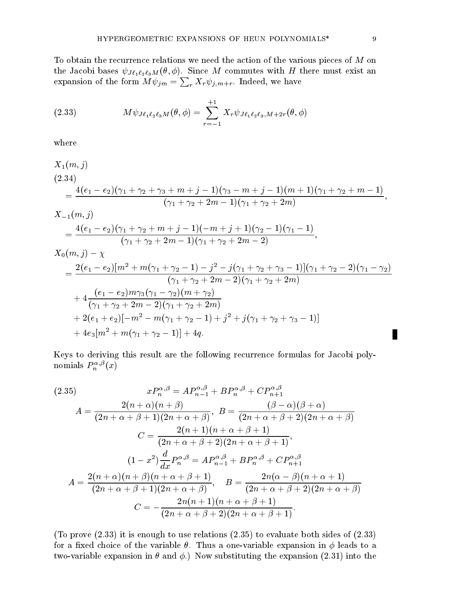To obtain the recurrence relations we need the action of the various pieces of  $M$  on  $\frac{1}{\sqrt{2}}$  -  $\frac{1}{\sqrt{2}}$  -  $\frac{1}{\sqrt{2}}$   $\frac{1}{\sqrt{2}}$  -  $\frac{1}{\sqrt{2}}$  -  $\frac{1}{\sqrt{2}}$  -  $\frac{1}{\sqrt{2}}$  -  $\frac{1}{\sqrt{2}}$  -  $\frac{1}{\sqrt{2}}$  -  $\frac{1}{\sqrt{2}}$  -  $\frac{1}{\sqrt{2}}$  -  $\frac{1}{\sqrt{2}}$  -  $\frac{1}{\sqrt{2}}$  -  $\frac{1}{\sqrt{2}}$  -  $\frac{1}{\sqrt{2}}$  expansion of the form  $M \psi_{jm} = \sum_{r} X_r \psi_{j,m+r}$ . Indeed, we have

(2.33) 
$$
M\psi_{J\ell_1\ell_2\ell_3M}(\theta,\phi) = \sum_{r=-1}^{+1} X_r \psi_{J\ell_1\ell_2\ell_3,M+2r}(\theta,\phi)
$$

where

$$
X_1(m, j)
$$
\n
$$
(2.34)
$$
\n
$$
= \frac{4(e_1 - e_2)(\gamma_1 + \gamma_2 + \gamma_3 + m + j - 1)(\gamma_3 - m + j - 1)(m + 1)(\gamma_1 + \gamma_2 + m - 1)}{(\gamma_1 + \gamma_2 + 2m - 1)(\gamma_1 + \gamma_2 + 2m)},
$$
\n
$$
X_{-1}(m, j)
$$
\n
$$
= \frac{4(e_1 - e_2)(\gamma_1 + \gamma_2 + m + j - 1)(-m + j + 1)(\gamma_2 - 1)(\gamma_1 - 1)}{(\gamma_1 + \gamma_2 + 2m - 1)(\gamma_1 + \gamma_2 + 2m - 2)},
$$
\n
$$
X_{-1}(m, j)
$$

$$
X_0(m, j) - \chi
$$
  
= 
$$
\frac{2(e_1 - e_2)[m^2 + m(\gamma_1 + \gamma_2 - 1) - j^2 - j(\gamma_1 + \gamma_2 + \gamma_3 - 1)](\gamma_1 + \gamma_2 - 2)(\gamma_1 - \gamma_2)}{(\gamma_1 + \gamma_2 + 2m - 2)(\gamma_1 + \gamma_2 + 2m)}
$$
  
+ 
$$
4 \frac{(e_1 - e_2)m\gamma_3(\gamma_1 - \gamma_2)(m + \gamma_2)}{(\gamma_1 + \gamma_2 + 2m - 2)(\gamma_1 + \gamma_2 + 2m)}
$$
  
+ 
$$
2(e_1 + e_2)[-m^2 - m(\gamma_1 + \gamma_2 - 1) + j^2 + j(\gamma_1 + \gamma_2 + \gamma_3 - 1)]
$$
  
+ 
$$
4e_3[m^2 + m(\gamma_1 + \gamma_2 - 1)] + 4q.
$$

Keys to deriving this result are the following recurrence formulas for Jacobi poly nomials  $P_n^{\pi,\varphi}(x)$ 

(2.35)  
\n
$$
xP_n^{\alpha,\beta} = AP_{n-1}^{\alpha,\beta} + BP_n^{\alpha,\beta} + CP_{n+1}^{\alpha,\beta}
$$
\n
$$
A = \frac{2(n+\alpha)(n+\beta)}{(2n+\alpha+\beta+1)(2n+\alpha+\beta)}, \ B = \frac{(\beta-\alpha)(\beta+\alpha)}{(2n+\alpha+\beta+2)(2n+\alpha+\beta)}
$$
\n
$$
C = \frac{2(n+1)(n+\alpha+\beta+1)}{(2n+\alpha+\beta+2)(2n+\alpha+\beta+1)},
$$
\n
$$
(1-x^2)\frac{d}{dx}P_n^{\alpha,\beta} = AP_{n-1}^{\alpha,\beta} + BP_n^{\alpha,\beta} + CP_{n+1}^{\alpha,\beta}
$$
\n
$$
A = \frac{2(n+\alpha)(n+\beta)(n+\alpha+\beta+1)}{(2n+\alpha+\beta+1)(2n+\alpha+\beta)}, \quad B = \frac{2n(\alpha-\beta)(n+\alpha+1)}{(2n+\alpha+\beta+2)(2n+\alpha+\beta)}
$$
\n
$$
C = -\frac{2n(n+1)(n+\alpha+\beta+1)}{(2n+\alpha+\beta+2)(2n+\alpha+\beta+1)}.
$$

-To prove - it is enough to use relations - to evaluate both sides of  for a fixed choice of the variable  $\theta$ . Thus a one-variable expansion in  $\phi$  leads to a two variable expansion in the expansion in the expansion of the expansion of the expansion of the expansion of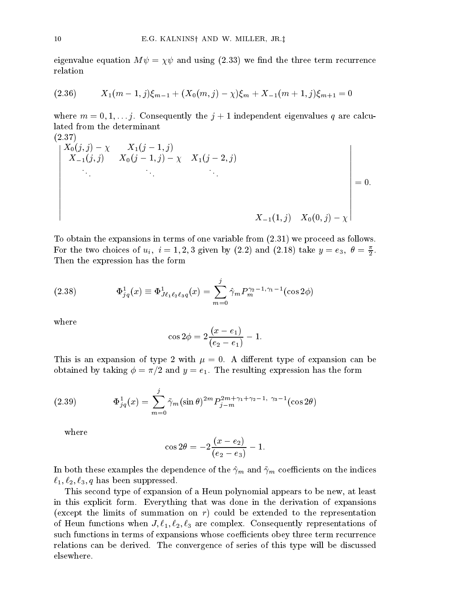$\mathbb{R}$  and using  $\mathbb{R}$  and using  $\mathbb{R}$  and the three term recurrence term recurrence term recurrence relation

(2.36) 
$$
X_1(m-1,j)\xi_{m-1} + (X_0(m,j)-\chi)\xi_m + X_{-1}(m+1,j)\xi_{m+1} = 0
$$

where  $\alpha$  is a justice of  $\alpha$  independent eigenvalues  $\alpha$  are calculated by an eigenvalues  $\alpha$  are calculated by lated from the determinant  $(9.37)$ 

$$
\begin{vmatrix}\nX_0(j,j) - \chi & X_1(j-1,j) \\
X_{-1}(j,j) & X_0(j-1,j) - \chi & X_1(j-2,j) \\
\vdots & \vdots & \ddots & \vdots \\
X_{-1}(1,j) & X_0(0,j) - \chi\n\end{vmatrix} = 0.
$$

To obtain the expansions in terms of one variable from - we proceed as follows For the two choices of  $u_i$ ,  $i = 1, 2, 3$  given by (2.2) and (2.18) take  $y = e_3, \; b = \frac{1}{2}$ . Then the expression has the form

(2.38) 
$$
\Phi_{jq}^1(x) \equiv \Phi_{J\ell_1\ell_2\ell_3q}^1(x) = \sum_{m=0}^j \hat{\gamma}_m P_m^{\gamma_2 - 1, \gamma_1 - 1}(\cos 2\phi)
$$

where

$$
\cos 2\phi = 2\frac{(x-e_1)}{(e_2-e_1)}-1.
$$

This is an expansion of type  with A di!erent type of expansion can be  $\mathcal{A}$  and  $\mathcal{A}$  and  $\mathcal{A}$  and  $\mathcal{A}$  and  $\mathcal{A}$  and  $\mathcal{A}$  are the form of  $\mathcal{A}$ 

(2.39) 
$$
\Phi_{jq}^1(x) = \sum_{m=0}^j \tilde{\gamma}_m(\sin \theta)^{2m} P_{j-m}^{2m+\gamma_1+\gamma_2-1, \gamma_3-1}(\cos 2\theta)
$$

where

$$
\cos 2\theta = -2\frac{(x - e_2)}{(e_2 - e_3)} - 1.
$$

 $\mathbf{r}$  examples the dependence of the  $\mathbf{r}$  the  $\mathbf{r}$ - 

 q has been suppressed

This second type of expansion of a Heun polynomial appears to be new, at least in this explicit form. Everything that was done in the derivation of expansions -except the limits of summation on r could be extended to the representation of Heun functions when J 
- 
 are complex Consequently representations of such functions in terms of expansions whose coefficients obey three term recurrence relations can be derived. The convergence of series of this type will be discussed elsewhere